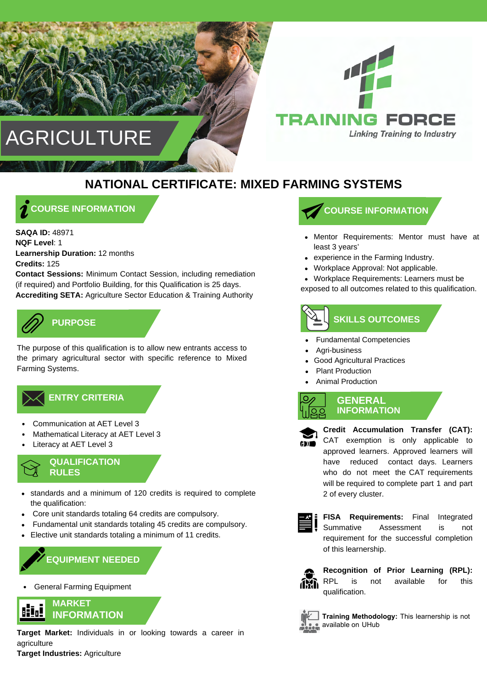



## **NATIONAL CERTIFICATE: MIXED FARMING SYSTEMS**

**COURSE INFORMATION**

**SAQA ID:** 48971 **NQF Level**: 1 **Learnership Duration:** 12 months **Credits:** 125 **Contact Sessions:** Minimum Contact Session, including remediation (if required) and Portfolio Building, for this Qualification is 25 days. **Accrediting SETA:** Agriculture Sector Education & Training Authority

## **PURPOSE**

The purpose of this qualification is to allow new entrants access to the primary agricultural sector with specific reference to Mixed Farming Systems.

## $\measuredangle$  ENTRY CRITERIA

- Communication at AET Level 3
- Mathematical Literacy at AET Level 3
- Literacy at AET Level 3

#### **QUALIFICATION RULES**

- standards and a minimum of 120 credits is required to complete the qualification:
- Core unit standards totaling 64 credits are compulsory.
- Fundamental unit standards totaling 45 credits are compulsory.
- Elective unit standards totaling a minimum of 11 credits.

## **EQUIPMENT NEEDED**

General Farming Equipment



**Target Market:** Individuals in or looking towards a career in agriculture **Target Industries:** Agriculture

## **COURSE INFORMATION**

- Mentor Requirements: Mentor must have at least 3 years'
- experience in the Farming Industry.
- Workplace Approval: Not applicable.
- Workplace Requirements: Learners must be

exposed to all outcomes related to this qualification.

# **SKILLS OUTCOMES**

- Fundamental Competencies
- Agri-business
- Good Agricultural Practices
- Plant Production
- Animal Production

**GENERAL INFORMATION**

**Credit Accumulation Transfer (CAT):**  CAT exemption is only applicable to approved learners. Approved learners will have reduced contact days. Learners who do not meet the CAT requirements will be required to complete part 1 and part 2 of every cluster.



**FISA Requirements:** Final Integrated Summative Assessment is not requirement for the successful completion of this learnership.



**Recognition of Prior Learning (RPL):**  RPL is not available for this qualification.



**Training Methodology:** This learnership is not available on UHub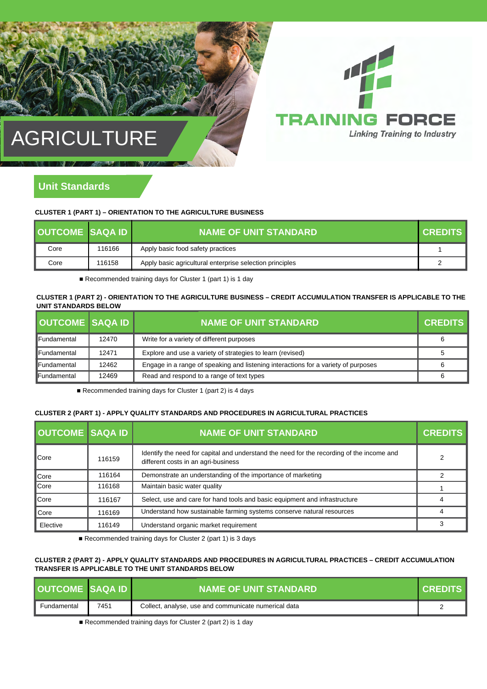

## **AGRICULTURE**

### **Unit Standards**

#### **CLUSTER 1 (PART 1) – ORIENTATION TO THE AGRICULTURE BUSINESS**

| <b>OUTCOME SAQA ID</b> |        | <b>NAME OF UNIT STANDARD</b>                             | <b>CREDITS</b> |
|------------------------|--------|----------------------------------------------------------|----------------|
| Core                   | 116166 | Apply basic food safety practices                        |                |
| Core                   | 116158 | Apply basic agricultural enterprise selection principles |                |

■ Recommended training days for Cluster 1 (part 1) is 1 day

#### **CLUSTER 1 (PART 2) - ORIENTATION TO THE AGRICULTURE BUSINESS – CREDIT ACCUMULATION TRANSFER IS APPLICABLE TO THE UNIT STANDARDS BELOW**

| <b>OUTCOME SAQA ID</b> |       | <b>NAME OF UNIT STANDARD</b>                                                       | <b>CREDITS</b> |
|------------------------|-------|------------------------------------------------------------------------------------|----------------|
| <b>Fundamental</b>     | 12470 | Write for a variety of different purposes                                          | 6              |
| <b>Fundamental</b>     | 12471 | Explore and use a variety of strategies to learn (revised)                         |                |
| <b>IFundamental</b>    | 12462 | Engage in a range of speaking and listening interactions for a variety of purposes | 6              |
| <b>Fundamental</b>     | 12469 | Read and respond to a range of text types                                          | 6              |

■ Recommended training days for Cluster 1 (part 2) is 4 days

#### **CLUSTER 2 (PART 1) - APPLY QUALITY STANDARDS AND PROCEDURES IN AGRICULTURAL PRACTICES**

| <b>OUTCOME SAQA ID</b> |        | <b>NAME OF UNIT STANDARD</b>                                                                                                     | <b>CREDITS</b> |
|------------------------|--------|----------------------------------------------------------------------------------------------------------------------------------|----------------|
| ∎Core                  | 116159 | Identify the need for capital and understand the need for the recording of the income and<br>different costs in an agri-business |                |
| <b>Core</b>            | 116164 | Demonstrate an understanding of the importance of marketing                                                                      |                |
| <b>Core</b>            | 116168 | Maintain basic water quality                                                                                                     |                |
| ∎Core                  | 116167 | Select, use and care for hand tools and basic equipment and infrastructure                                                       |                |
| ∎Core                  | 116169 | Understand how sustainable farming systems conserve natural resources                                                            | Δ              |
| Elective               | 116149 | Understand organic market requirement                                                                                            | 3              |

■ Recommended training days for Cluster 2 (part 1) is 3 days

#### **CLUSTER 2 (PART 2) - APPLY QUALITY STANDARDS AND PROCEDURES IN AGRICULTURAL PRACTICES – CREDIT ACCUMULATION TRANSFER IS APPLICABLE TO THE UNIT STANDARDS BELOW**

| <b>OUTCOME SAQAID</b> |      | I NAME OF UNIT STANDARD .                            | <b>CREDITS</b> |
|-----------------------|------|------------------------------------------------------|----------------|
| Fundamental           | 7451 | Collect, analyse, use and communicate numerical data |                |

■ Recommended training days for Cluster 2 (part 2) is 1 day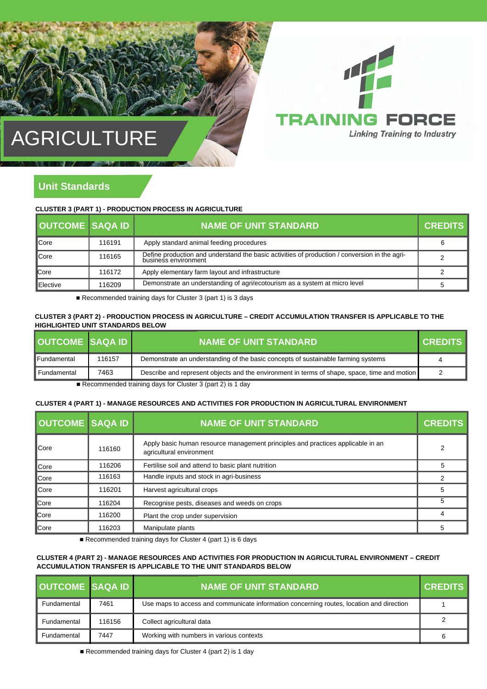

## AGRICULTURE

## **Unit Standards**

**CLUSTER 3 (PART 1) - PRODUCTION PROCESS IN AGRICULTURE**

| <b>OUTCOME SAOA ID</b> |        | <b>NAME OF UNIT STANDARD</b>                                                                                          | <b>CREDITS</b> |
|------------------------|--------|-----------------------------------------------------------------------------------------------------------------------|----------------|
| <b>C</b> ore           | 116191 | Apply standard animal feeding procedures                                                                              | 6              |
| <b>∎</b> Core          | 116165 | Define production and understand the basic activities of production / conversion in the agri-<br>business environment |                |
| <b>C</b> ore           | 116172 | Apply elementary farm layout and infrastructure                                                                       |                |
| <b>IElective</b>       | 116209 | Demonstrate an understanding of agri/ecotourism as a system at micro level                                            |                |

■ Recommended training days for Cluster 3 (part 1) is 3 days

#### **CLUSTER 3 (PART 2) - PRODUCTION PROCESS IN AGRICULTURE – CREDIT ACCUMULATION TRANSFER IS APPLICABLE TO THE HIGHLIGHTED UNIT STANDARDS BELOW**

| <b>OUTCOME SAQA ID</b> |        | <b>NAME OF UNIT STANDARD</b>                                                                 | <b>CREDITS</b> |
|------------------------|--------|----------------------------------------------------------------------------------------------|----------------|
| lFundamental           | 116157 | Demonstrate an understanding of the basic concepts of sustainable farming systems            | 4              |
| Fundamental            | 7463   | Describe and represent objects and the environment in terms of shape, space, time and motion | っ              |
|                        |        | $\equiv$ December 2014 of the light of the Contraction O for an O) is A signal               |                |

■ Recommended training days for Cluster 3 (part 2) is 1 day

#### **CLUSTER 4 (PART 1) - MANAGE RESOURCES AND ACTIVITIES FOR PRODUCTION IN AGRICULTURAL ENVIRONMENT**

| <b>OUTCOME SAQA ID</b> |        | <b>NAME OF UNIT STANDARD</b>                                                                                | <b>CREDITS</b> |
|------------------------|--------|-------------------------------------------------------------------------------------------------------------|----------------|
| ∎Core                  | 116160 | Apply basic human resource management principles and practices applicable in an<br>agricultural environment | 2              |
| <b>∥</b> Core          | 116206 | Fertilise soil and attend to basic plant nutrition                                                          |                |
| <b></b> Core           | 116163 | Handle inputs and stock in agri-business                                                                    |                |
| ∥Core                  | 116201 | Harvest agricultural crops                                                                                  |                |
| <b>Core</b>            | 116204 | Recognise pests, diseases and weeds on crops                                                                | 5              |
| <b>Core</b>            | 116200 | Plant the crop under supervision                                                                            | 4              |
| <b></b> Core           | 116203 | Manipulate plants                                                                                           |                |

■ Recommended training days for Cluster 4 (part 1) is 6 days

#### **CLUSTER 4 (PART 2) - MANAGE RESOURCES AND ACTIVITIES FOR PRODUCTION IN AGRICULTURAL ENVIRONMENT – CREDIT ACCUMULATION TRANSFER IS APPLICABLE TO THE UNIT STANDARDS BELOW**

| <b>OUTCOME SAQA ID</b> |        | <b>NAME OF UNIT STANDARD</b>                                                             | <b>CREDITS</b> |
|------------------------|--------|------------------------------------------------------------------------------------------|----------------|
| Fundamental            | 7461   | Use maps to access and communicate information concerning routes, location and direction |                |
| Fundamental            | 116156 | Collect agricultural data                                                                |                |
| Fundamental            | 7447   | Working with numbers in various contexts                                                 | b              |

■ Recommended training days for Cluster 4 (part 2) is 1 day